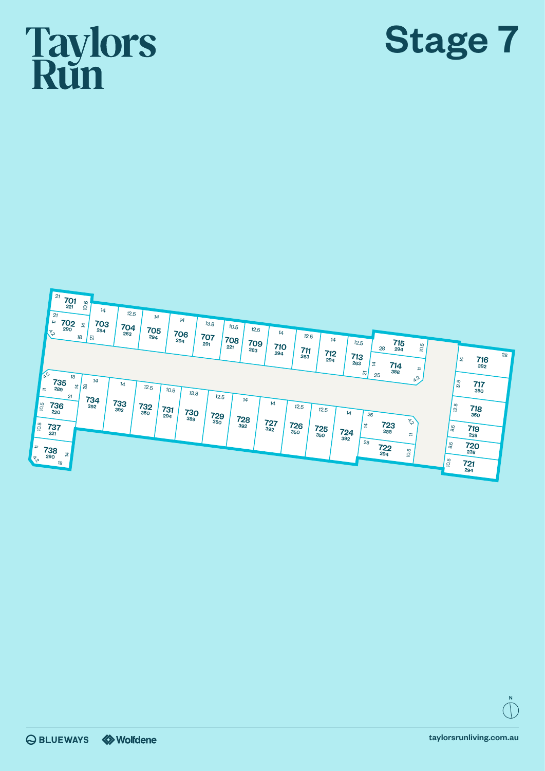## **Taylors**<br>Run





N

taylorsrunliving.com.au